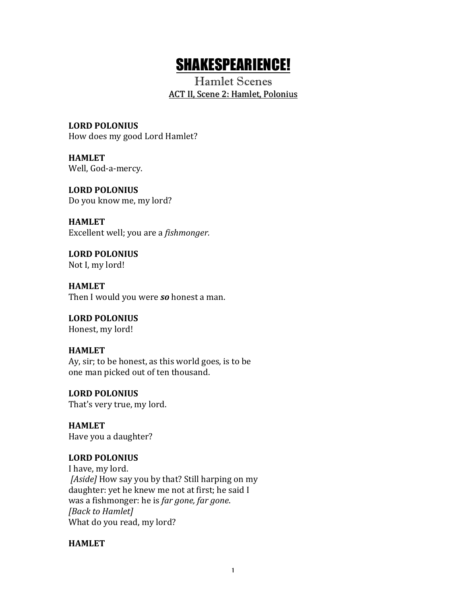# SHAKESPEARIENCE!

Hamlet Scenes ACT II, Scene 2: Hamlet, Polonius

**LORD POLONIUS** How does my good Lord Hamlet?

**HAMLET** Well, God-a-mercy.

**LORD POLONIUS** Do you know me, my lord?

**HAMLET** Excellent well; you are a *fishmonger.* 

**LORD POLONIUS** Not I, my lord!

**HAMLET** Then I would you were so honest a man.

**LORD POLONIUS** Honest, my lord!

## **HAMLET**

Ay, sir; to be honest, as this world goes, is to be one man picked out of ten thousand.

**LORD POLONIUS** That's very true, my lord.

**HAMLET** Have you a daughter?

## **LORD POLONIUS**

I have, my lord. *[Aside]* How say you by that? Still harping on my daughter: yet he knew me not at first; he said I was a fishmonger: he is *far gone, far gone*. *[Back to Hamlet]* What do you read, my lord?

#### **HAMLET**